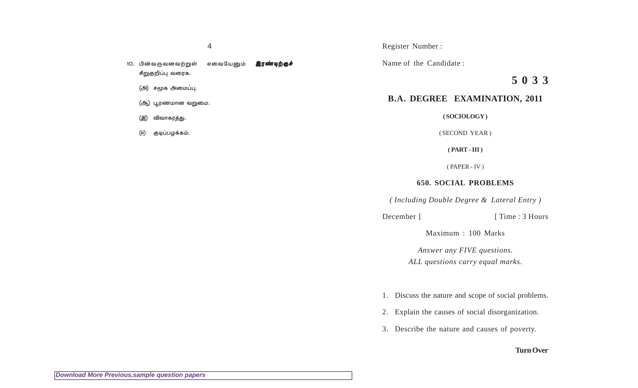10. பின்வருவனவற்றுள் எவையேனும் **இரண்டிற்குச்** சிறுகுறிப்பு வரைக.

- (அ) சமூக அமைப்பு.
- (ஆ்) பூரணமான வறுமை.
- (இ) விவாகரத்து.
- (ஈ) குடிப்பழக்கம்.

Register Number :

Name of the Candidate :

**5 0 3 3**

## **B.A. DEGREE EXAMINATION, 2011**

**( SOCIOLOGY )**

( SECOND YEAR )

**( PART - III )**

( PAPER - IV )

## **650. SOCIAL PROBLEMS**

*( Including Double Degree & Lateral Entry )*

December ] [ Time : 3 Hours

Maximum : 100 Marks

*Answer any FIVE questions. ALL questions carry equal marks.*

1. Discuss the nature and scope of social problems.

- 2. Explain the causes of social disorganization.
- 3. Describe the nature and causes of poverty.

## **Turn Over**